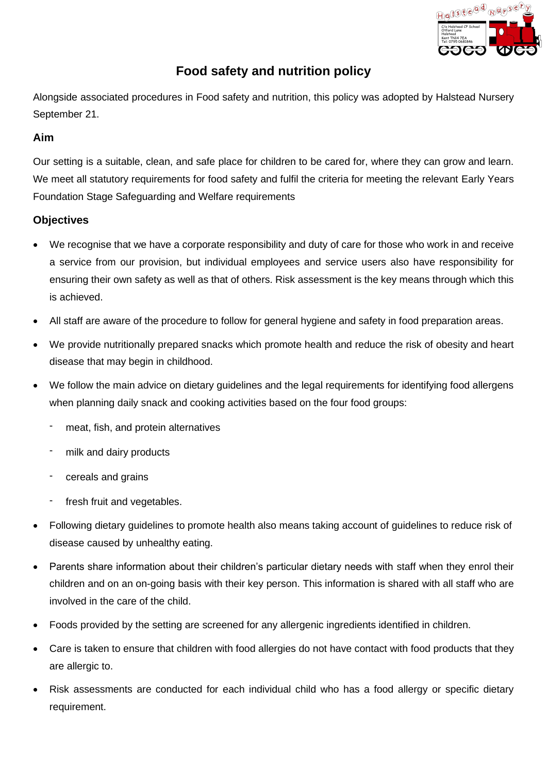

# **Food safety and nutrition policy**

Alongside associated procedures in Food safety and nutrition, this policy was adopted by Halstead Nursery September 21.

## **Aim**

Our setting is a suitable, clean, and safe place for children to be cared for, where they can grow and learn. We meet all statutory requirements for food safety and fulfil the criteria for meeting the relevant Early Years Foundation Stage Safeguarding and Welfare requirements

### **Objectives**

- We recognise that we have a corporate responsibility and duty of care for those who work in and receive a service from our provision, but individual employees and service users also have responsibility for ensuring their own safety as well as that of others. Risk assessment is the key means through which this is achieved.
- All staff are aware of the procedure to follow for general hygiene and safety in food preparation areas.
- We provide nutritionally prepared snacks which promote health and reduce the risk of obesity and heart disease that may begin in childhood.
- We follow the main advice on dietary guidelines and the legal requirements for identifying food allergens when planning daily snack and cooking activities based on the four food groups:
	- meat, fish, and protein alternatives
	- milk and dairy products
	- cereals and grains
	- fresh fruit and vegetables.
- Following dietary guidelines to promote health also means taking account of guidelines to reduce risk of disease caused by unhealthy eating.
- Parents share information about their children's particular dietary needs with staff when they enrol their children and on an on-going basis with their key person. This information is shared with all staff who are involved in the care of the child.
- Foods provided by the setting are screened for any allergenic ingredients identified in children.
- Care is taken to ensure that children with food allergies do not have contact with food products that they are allergic to.
- Risk assessments are conducted for each individual child who has a food allergy or specific dietary requirement.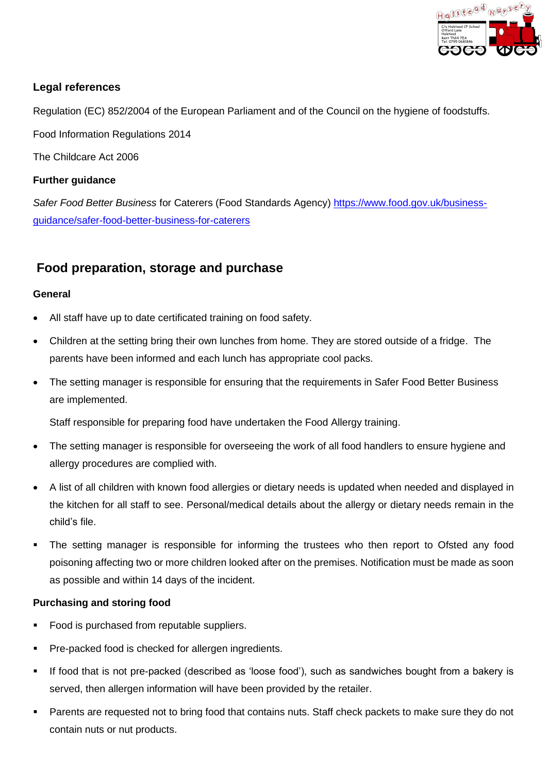

# **Legal references**

Regulation (EC) 852/2004 of the European Parliament and of the Council on the hygiene of foodstuffs.

Food Information Regulations 2014

The Childcare Act 2006

## **Further guidance**

*Safer Food Better Business* for Caterers (Food Standards Agency) https://www.food.gov.uk/businessguidance/safer-food-better-business-for-caterers

# **Food preparation, storage and purchase**

### **General**

- All staff have up to date certificated training on food safety.
- Children at the setting bring their own lunches from home. They are stored outside of a fridge. The parents have been informed and each lunch has appropriate cool packs.
- The setting manager is responsible for ensuring that the requirements in Safer Food Better Business are implemented.

Staff responsible for preparing food have undertaken the Food Allergy training.

- The setting manager is responsible for overseeing the work of all food handlers to ensure hygiene and allergy procedures are complied with.
- A list of all children with known food allergies or dietary needs is updated when needed and displayed in the kitchen for all staff to see. Personal/medical details about the allergy or dietary needs remain in the child's file.
- The setting manager is responsible for informing the trustees who then report to Ofsted any food poisoning affecting two or more children looked after on the premises. Notification must be made as soon as possible and within 14 days of the incident.

### **Purchasing and storing food**

- Food is purchased from reputable suppliers.
- Pre-packed food is checked for allergen ingredients.
- If food that is not pre-packed (described as 'loose food'), such as sandwiches bought from a bakery is served, then allergen information will have been provided by the retailer.
- Parents are requested not to bring food that contains nuts. Staff check packets to make sure they do not contain nuts or nut products.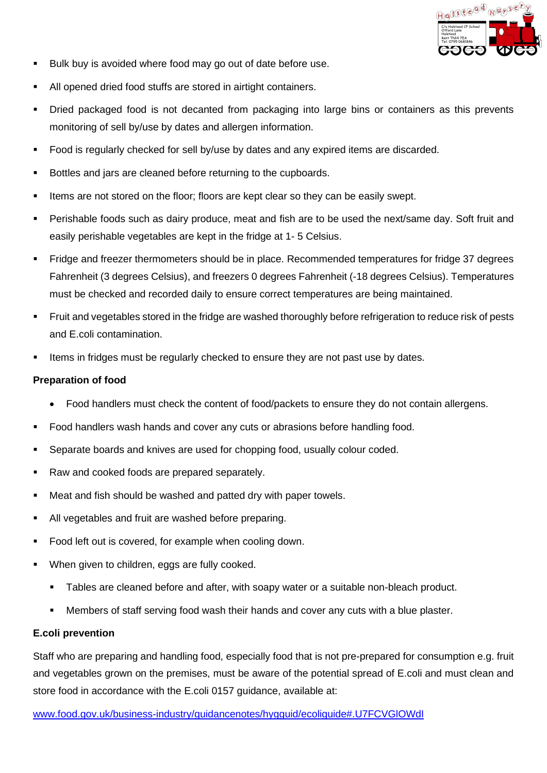

- Bulk buy is avoided where food may go out of date before use.
- All opened dried food stuffs are stored in airtight containers.
- Dried packaged food is not decanted from packaging into large bins or containers as this prevents monitoring of sell by/use by dates and allergen information.
- Food is regularly checked for sell by/use by dates and any expired items are discarded.
- Bottles and jars are cleaned before returning to the cupboards.
- Items are not stored on the floor; floors are kept clear so they can be easily swept.
- Perishable foods such as dairy produce, meat and fish are to be used the next/same day. Soft fruit and easily perishable vegetables are kept in the fridge at 1- 5 Celsius.
- Fridge and freezer thermometers should be in place. Recommended temperatures for fridge 37 degrees Fahrenheit (3 degrees Celsius), and freezers 0 degrees Fahrenheit (-18 degrees Celsius). Temperatures must be checked and recorded daily to ensure correct temperatures are being maintained.
- Fruit and vegetables stored in the fridge are washed thoroughly before refrigeration to reduce risk of pests and E.coli contamination.
- **EXECT** Items in fridges must be regularly checked to ensure they are not past use by dates.

#### **Preparation of food**

- Food handlers must check the content of food/packets to ensure they do not contain allergens.
- Food handlers wash hands and cover any cuts or abrasions before handling food.
- Separate boards and knives are used for chopping food, usually colour coded.
- Raw and cooked foods are prepared separately.
- Meat and fish should be washed and patted dry with paper towels.
- All vegetables and fruit are washed before preparing.
- Food left out is covered, for example when cooling down.
- When given to children, eggs are fully cooked.
	- Tables are cleaned before and after, with soapy water or a suitable non-bleach product.
	- Members of staff serving food wash their hands and cover any cuts with a blue plaster.

#### **E.coli prevention**

Staff who are preparing and handling food, especially food that is not pre-prepared for consumption e.g. fruit and vegetables grown on the premises, must be aware of the potential spread of E.coli and must clean and store food in accordance with the E.coli 0157 guidance, available at:

www.food.gov.uk/business-industry/guidancenotes/hygguid/ecoliguide#.U7FCVGlOWdI